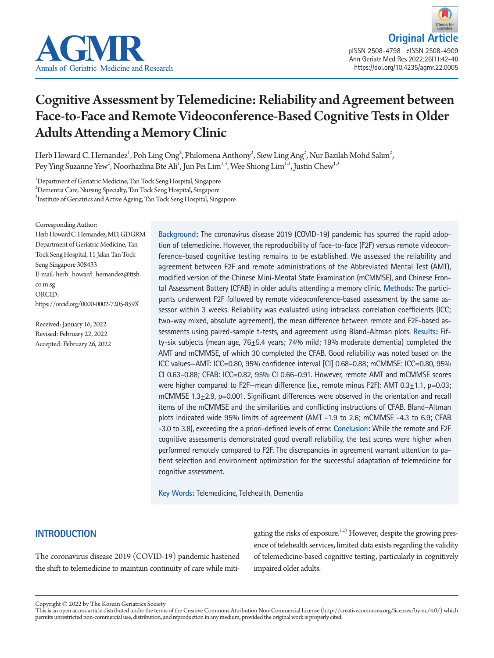

# Cognitive Assessment by Telemedicine: Reliability and Agreement between Face-to-Face and Remote Videoconference-Based Cognitive Tests in Older Adults Attending a Memory Clinic

Herb Howard C. Hernandez $^1$ , Poh Ling Ong $^2$ , Philomena Anthony $^2$ , Siew Ling Ang $^2$ , Nur Bazilah Mohd Salim $^2$ , Pey Ying Suzanne Yew<sup>2</sup>, Noorhazlina Bte Ali<sup>1</sup>, Jun Pei Lim<sup>1,3</sup>, Wee Shiong Lim<sup>1,3</sup>, Justin Chew<sup>1,3</sup>

1 Department of Geriatric Medicine, Tan Tock Seng Hospital, Singapore 2 Dementia Care, Nursing Specialty, Tan Tock Seng Hospital, Singapore 3 Institute of Geriatrics and Active Ageing, Tan Tock Seng Hospital, Singapore

Corresponding Author:

Herb Howard C. Hernandez, MD, GDGRM Department of Geriatric Medicine, Tan Tock Seng Hospital, 11 Jalan Tan Tock Seng Singapore 308433 E-mail: herb\_howard\_hernandez@ttsh. co m.sg ORCID: https://orcid.org/0000-0002-7205-859X

Received: January 16, 2022 Revised: February 22, 2022 Accepted: February 26, 2022 **Background:** The coronavirus disease 2019 (COVID-19) pandemic has spurred the rapid adoption of telemedicine. However, the reproducibility of face-to-face (F2F) versus remote videoconference-based cognitive testing remains to be established. We assessed the reliability and agreement between F2F and remote administrations of the Abbreviated Mental Test (AMT), modified version of the Chinese Mini-Mental State Examination (mCMMSE), and Chinese Frontal Assessment Battery (CFAB) in older adults attending a memory clinic. **Methods:** The participants underwent F2F followed by remote videoconference-based assessment by the same assessor within 3 weeks. Reliability was evaluated using intraclass correlation coefficients (ICC; two-way mixed, absolute agreement), the mean difference between remote and F2F-based assessments using paired-sample t-tests, and agreement using Bland-Altman plots. **Results:** Fifty-six subjects (mean age, 76±5.4 years; 74% mild; 19% moderate dementia) completed the AMT and mCMMSE, of which 30 completed the CFAB. Good reliability was noted based on the ICC values—AMT: ICC=0.80, 95% confidence interval [CI] 0.68–0.88; mCMMSE: ICC=0.80, 95% CI 0.63–0.88; CFAB: ICC=0.82, 95% CI 0.66–0.91. However, remote AMT and mCMMSE scores were higher compared to F2F-mean difference (i.e., remote minus F2F): AMT 0.3 $\pm$ 1.1, p=0.03; mCMMSE 1.3 $\pm$ 2.9, p=0.001. Significant differences were observed in the orientation and recall items of the mCMMSE and the similarities and conflicting instructions of CFAB. Bland–Altman plots indicated wide 95% limits of agreement (AMT -1.9 to 2.6; mCMMSE -4.3 to 6.9; CFAB -3.0 to 3.8), exceeding the a priori-defined levels of error. **Conclusion:** While the remote and F2F cognitive assessments demonstrated good overall reliability, the test scores were higher when performed remotely compared to F2F. The discrepancies in agreement warrant attention to patient selection and environment optimization for the successful adaptation of telemedicine for cognitive assessment.

**Key Words:** Telemedicine, Telehealth, Dementia

# **INTRODUCTION**

The coronavirus disease 2019 (COVID-19) pandemic hastened the shift to telemedicine to maintain continuity of care while miti-

gating the risks of exposure.<sup>1[,2](#page-6-0))</sup> However, despite the growing presence of telehealth services, limited data exists regarding the validity of telemedicine-based cognitive testing, particularly in cognitively impaired older adults.

Copyright © 2022 by The Korean Geriatrics Society<br>This is an open access article distributed under the terms of the Creative Commons Attribution Non-Commercial License (http://creativecommons.org/licenses/by-nc/4.0/) which permits unrestricted non-commercial use, distribution, and reproduction in any medium, provided the original work is properly cited.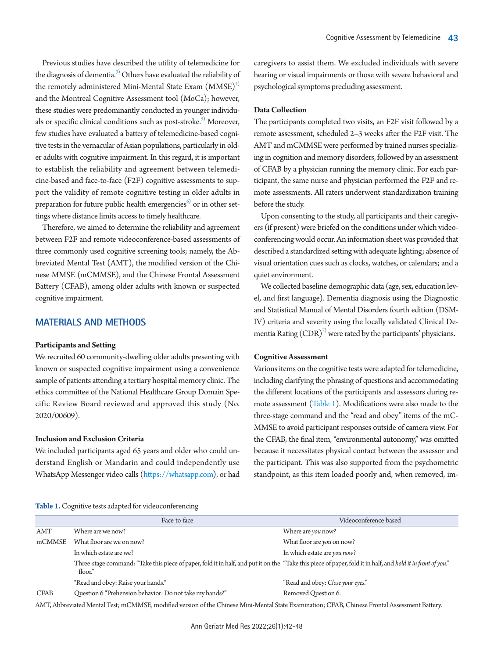Previous studies have described the utility of telemedicine for the diagnosis of dementia.<sup>[3](#page-6-1))</sup> Others have evaluated the reliability of the remotely administered Mini-Mental State Exam  $(MMSE)^{4}$ and the Montreal Cognitive Assessment tool (MoCa); however, these studies were predominantly conducted in younger individuals or specific clinical conditions such as post-stroke.<sup>5)</sup> Moreover, few studies have evaluated a battery of telemedicine-based cognitive tests in the vernacular of Asian populations, particularly in older adults with cognitive impairment. In this regard, it is important to establish the reliability and agreement between telemedicine-based and face-to-face (F2F) cognitive assessments to support the validity of remote cognitive testing in older adults in preparation for future public health emergencies<sup>6)</sup> or in other settings where distance limits access to timely healthcare.

Therefore, we aimed to determine the reliability and agreement between F2F and remote videoconference-based assessments of three commonly used cognitive screening tools; namely, the Abbreviated Mental Test (AMT), the modified version of the Chinese MMSE (mCMMSE), and the Chinese Frontal Assessment Battery (CFAB), among older adults with known or suspected cognitive impairment.

## **MATERIALS AND METHODS**

#### **Participants and Setting**

We recruited 60 community-dwelling older adults presenting with known or suspected cognitive impairment using a convenience sample of patients attending a tertiary hospital memory clinic. The ethics committee of the National Healthcare Group Domain Specific Review Board reviewed and approved this study (No. 2020/00609).

## **Inclusion and Exclusion Criteria**

We included participants aged 65 years and older who could understand English or Mandarin and could independently use WhatsApp Messenger video calls [\(https://whatsapp.com\)](https://whatsapp.com/), or had

caregivers to assist them. We excluded individuals with severe hearing or visual impairments or those with severe behavioral and psychological symptoms precluding assessment.

#### **Data Collection**

The participants completed two visits, an F2F visit followed by a remote assessment, scheduled 2–3 weeks after the F2F visit. The AMT and mCMMSE were performed by trained nurses specializing in cognition and memory disorders, followed by an assessment of CFAB by a physician running the memory clinic. For each participant, the same nurse and physician performed the F2F and remote assessments. All raters underwent standardization training before the study.

Upon consenting to the study, all participants and their caregivers (if present) were briefed on the conditions under which videoconferencing would occur. An information sheet was provided that described a standardized setting with adequate lighting; absence of visual orientation cues such as clocks, watches, or calendars; and a quiet environment.

We collected baseline demographic data (age, sex, education level, and first language). Dementia diagnosis using the Diagnostic and Statistical Manual of Mental Disorders fourth edition (DSM-IV) criteria and severity using the locally validated Clinical Dementia Rating  $(CDR)^{7}$  were rated by the participants' physicians.

#### **Cognitive Assessment**

Various items on the cognitive tests were adapted for telemedicine, including clarifying the phrasing of questions and accommodating the different locations of the participants and assessors during remote assessment [\(Table 1\)](#page-1-0). Modifications were also made to the three-stage command and the "read and obey" items of the mC-MMSE to avoid participant responses outside of camera view. For the CFAB, the final item, "environmental autonomy," was omitted because it necessitates physical contact between the assessor and the participant. This was also supported from the psychometric standpoint, as this item loaded poorly and, when removed, im-

<span id="page-1-0"></span>

| Table 1. Cognitive tests adapted for videoconferencing |  |  |  |
|--------------------------------------------------------|--|--|--|
|                                                        |  |  |  |
|                                                        |  |  |  |
|                                                        |  |  |  |

|             | Face-to-face                                                                                                                                                            | Videoconference-based             |
|-------------|-------------------------------------------------------------------------------------------------------------------------------------------------------------------------|-----------------------------------|
| AMT         | Where are we now?                                                                                                                                                       | Where are <i>you</i> now?         |
| mCMMSE      | What floor are we on now?                                                                                                                                               | What floor are <i>you</i> on now? |
|             | In which estate are we?                                                                                                                                                 | In which estate are you now?      |
|             | Three-stage command: "Take this piece of paper, fold it in half, and put it on the "Take this piece of paper, fold it in half, and hold it in front of you."<br>floor." |                                   |
|             | "Read and obey: Raise your hands."                                                                                                                                      | "Read and obey: Close your eyes." |
| <b>CFAB</b> | Question 6 "Prehension behavior: Do not take my hands?"                                                                                                                 | Removed Question 6.               |

AMT, Abbreviated Mental Test; mCMMSE, modified version of the Chinese Mini-Mental State Examination; CFAB, Chinese Frontal Assessment Battery.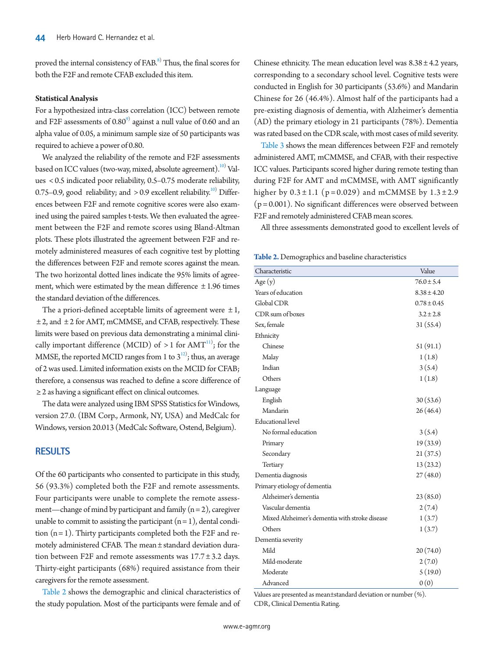proved the internal consistency of FAB.<sup>[8](#page-6-3))</sup> Thus, the final scores for both the F2F and remote CFAB excluded this item.

#### **Statistical Analysis**

For a hypothesized intra-class correlation (ICC) between remote and F2F assessments of  $0.80^\circ$ ) against a null value of 0.60 and an alpha value of 0.05, a minimum sample size of 50 participants was required to achieve a power of 0.80.

We analyzed the reliability of the remote and F2F assessments based on ICC values (two-way, mixed, absolute agreement). $^{\scriptscriptstyle{10)}}$  $^{\scriptscriptstyle{10)}}$  $^{\scriptscriptstyle{10)}}$  Values < 0.5 indicated poor reliability, 0.5–0.75 moderate reliability, 0.75–0.9, good reliability; and  $>$  0.9 excellent reliability.<sup>[10](#page-6-4))</sup> Differences between F2F and remote cognitive scores were also examined using the paired samples t-tests. We then evaluated the agreement between the F2F and remote scores using Bland-Altman plots. These plots illustrated the agreement between F2F and remotely administered measures of each cognitive test by plotting the differences between F2F and remote scores against the mean. The two horizontal dotted lines indicate the 95% limits of agreement, which were estimated by the mean difference  $\pm$  1.96 times the standard deviation of the differences.

The a priori-defined acceptable limits of agreement were  $\pm 1$ , ± 2, and ± 2 for AMT, mCMMSE, and CFAB, respectively. These limits were based on previous data demonstrating a minimal clinically important difference (MCID) of  $>1$  for AMT $^{11}$ ; for the MMSE, the reported MCID ranges from 1 to  $3^{12}$  $3^{12}$  $3^{12}$ ; thus, an average of 2 was used. Limited information exists on the MCID for CFAB; therefore, a consensus was reached to define a score difference of ≥ 2 as having a significant effect on clinical outcomes.

The data were analyzed using IBM SPSS Statistics for Windows, version 27.0. (IBM Corp., Armonk, NY, USA) and MedCalc for Windows, version 20.013 (MedCalc Software, Ostend, Belgium).

#### **RESULTS**

Of the 60 participants who consented to participate in this study, 56 (93.3%) completed both the F2F and remote assessments. Four participants were unable to complete the remote assessment—change of mind by participant and family  $(n = 2)$ , caregiver unable to commit to assisting the participant  $(n = 1)$ , dental condition  $(n = 1)$ . Thirty participants completed both the F2F and remotely administered CFAB. The mean ± standard deviation duration between F2F and remote assessments was 17.7 ± 3.2 days. Thirty-eight participants (68%) required assistance from their caregivers for the remote assessment.

[Table 2](#page-2-0) shows the demographic and clinical characteristics of the study population. Most of the participants were female and of

Chinese ethnicity. The mean education level was  $8.38 \pm 4.2$  years, corresponding to a secondary school level. Cognitive tests were conducted in English for 30 participants (53.6%) and Mandarin Chinese for 26 (46.4%). Almost half of the participants had a pre-existing diagnosis of dementia, with Alzheimer's dementia (AD) the primary etiology in 21 participants (78%). Dementia was rated based on the CDR scale, with most cases of mild severity.

[Table 3](#page-3-0) shows the mean differences between F2F and remotely administered AMT, mCMMSE, and CFAB, with their respective ICC values. Participants scored higher during remote testing than during F2F for AMT and mCMMSE, with AMT significantly higher by  $0.3 \pm 1.1$  (p=0.029) and mCMMSE by  $1.3 \pm 2.9$  $(p = 0.001)$ . No significant differences were observed between F2F and remotely administered CFAB mean scores.

All three assessments demonstrated good to excellent levels of

<span id="page-2-0"></span>**Table 2.** Demographics and baseline characteristics

| Characteristic                                 | Value           |
|------------------------------------------------|-----------------|
| Age(y)                                         | $76.0 \pm 5.4$  |
| Years of education                             | $8.38 \pm 4.20$ |
| Global CDR                                     | $0.78 \pm 0.45$ |
| CDR sum of boxes                               | $3.2 \pm 2.8$   |
| Sex, female                                    | 31(55.4)        |
| Ethnicity                                      |                 |
| Chinese                                        | 51(91.1)        |
| Malay                                          | 1(1.8)          |
| Indian                                         | 3(5.4)          |
| Others                                         | 1(1.8)          |
| Language                                       |                 |
| English                                        | 30(53.6)        |
| Mandarin                                       | 26(46.4)        |
| <b>Educational</b> level                       |                 |
| No formal education                            | 3(5.4)          |
| Primary                                        | 19(33.9)        |
| Secondary                                      | 21(37.5)        |
| Tertiary                                       | 13(23.2)        |
| Dementia diagnosis                             | 27(48.0)        |
| Primary etiology of dementia                   |                 |
| Alzheimer's dementia                           | 23(85.0)        |
| Vascular dementia                              | 2(7.4)          |
| Mixed Alzheimer's dementia with stroke disease | 1(3.7)          |
| Others                                         | 1(3.7)          |
| Dementia severity                              |                 |
| Mild                                           | 20(74.0)        |
| Mild-moderate                                  | 2(7.0)          |
| Moderate                                       | 5(19.0)         |
| Advanced                                       | 0(0)            |

Values are presented as mean±standard deviation or number (%). CDR, Clinical Dementia Rating.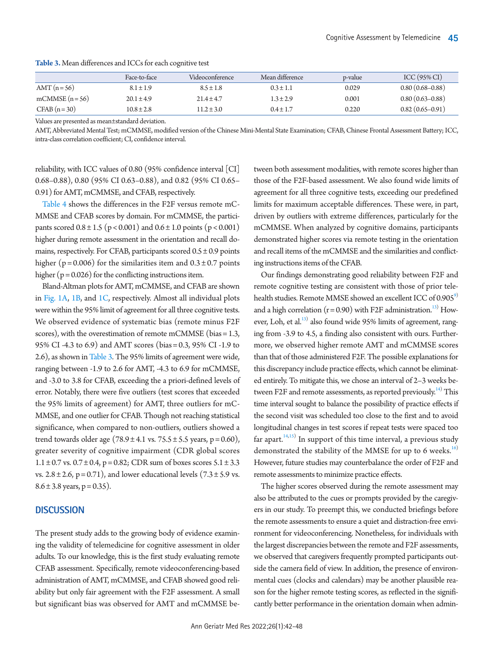|                 | Face-to-face   | Videoconference | Mean difference | p-value | $ICC(95\% CI)$      |
|-----------------|----------------|-----------------|-----------------|---------|---------------------|
| $AMT(n=56)$     | $8.1 \pm 1.9$  | $8.5 \pm 1.8$   | $0.3 \pm 1.1$   | 0.029   | $0.80(0.68 - 0.88)$ |
| mCMMSE $(n=56)$ | $20.1 \pm 4.9$ | $21.4 \pm 4.7$  | $1.3 \pm 2.9$   | 0.001   | $0.80(0.63 - 0.88)$ |
| $CFAB(n=30)$    | $10.8 \pm 2.8$ | $11.2 \pm 3.0$  | $0.4 \pm 1.7$   | 0.220   | $0.82(0.65 - 0.91)$ |

<span id="page-3-0"></span>**Table 3.** Mean differences and ICCs for each cognitive test

Values are presented as mean±standard deviation.

AMT, Abbreviated Mental Test; mCMMSE, modified version of the Chinese Mini-Mental State Examination; CFAB, Chinese Frontal Assessment Battery; ICC, intra-class correlation coefficient; CI, confidence interval.

reliability, with ICC values of 0.80 (95% confidence interval [CI] 0.68–0.88), 0.80 (95% CI 0.63–0.88), and 0.82 (95% CI 0.65– 0.91) for AMT, mCMMSE, and CFAB, respectively.

[Table 4](#page-4-0) shows the differences in the F2F versus remote mC-MMSE and CFAB scores by domain. For mCMMSE, the participants scored  $0.8 \pm 1.5$  (p < 0.001) and  $0.6 \pm 1.0$  points (p < 0.001) higher during remote assessment in the orientation and recall domains, respectively. For CFAB, participants scored  $0.5 \pm 0.9$  points higher ( $p = 0.006$ ) for the similarities item and  $0.3 \pm 0.7$  points higher ( $p = 0.026$ ) for the conflicting instructions item.

Bland-Altman plots for AMT, mCMMSE, and CFAB are shown in [Fig. 1A, 1B,](#page-4-1) and [1C,](#page-4-1) respectively. Almost all individual plots were within the 95% limit of agreement for all three cognitive tests. We observed evidence of systematic bias (remote minus F2F scores), with the overestimation of remote mCMMSE (bias = 1.3, 95% CI -4.3 to 6.9) and AMT scores (bias = 0.3, 95% CI -1.9 to 2.6), as shown in [Table 3](#page-3-0). The 95% limits of agreement were wide, ranging between -1.9 to 2.6 for AMT, -4.3 to 6.9 for mCMMSE, and -3.0 to 3.8 for CFAB, exceeding the a priori-defined levels of error. Notably, there were five outliers (test scores that exceeded the 95% limits of agreement) for AMT, three outliers for mC-MMSE, and one outlier for CFAB. Though not reaching statistical significance, when compared to non-outliers, outliers showed a trend towards older age  $(78.9 \pm 4.1 \text{ vs. } 75.5 \pm 5.5 \text{ years}, p = 0.60)$ , greater severity of cognitive impairment (CDR global scores  $1.1 \pm 0.7$  vs.  $0.7 \pm 0.4$ , p = 0.82; CDR sum of boxes scores  $5.1 \pm 3.3$ vs.  $2.8 \pm 2.6$ , p = 0.71), and lower educational levels  $(7.3 \pm 5.9 \text{ vs.})$  $8.6 \pm 3.8$  years, p = 0.35).

### **DISCUSSION**

The present study adds to the growing body of evidence examining the validity of telemedicine for cognitive assessment in older adults. To our knowledge, this is the first study evaluating remote CFAB assessment. Specifically, remote videoconferencing-based administration of AMT, mCMMSE, and CFAB showed good reliability but only fair agreement with the F2F assessment. A small but significant bias was observed for AMT and mCMMSE be-

tween both assessment modalities, with remote scores higher than those of the F2F-based assessment. We also found wide limits of agreement for all three cognitive tests, exceeding our predefined limits for maximum acceptable differences. These were, in part, driven by outliers with extreme differences, particularly for the mCMMSE. When analyzed by cognitive domains, participants demonstrated higher scores via remote testing in the orientation and recall items of the mCMMSE and the similarities and conflicting instructions items of the CFAB.

Our findings demonstrating good reliability between F2F and remote cognitive testing are consistent with those of prior telehealth studies. Remote MMSE showed an excellent ICC of 0.905<sup>9)</sup> and a high correlation  $(r=0.90)$  with F2F administration.<sup>13)</sup> How-ever, Loh, et al.<sup>[13](#page-6-9))</sup> also found wide 95% limits of agreement, ranging from -3.9 to 4.5, a finding also consistent with ours. Furthermore, we observed higher remote AMT and mCMMSE scores than that of those administered F2F. The possible explanations for this discrepancy include practice effects, which cannot be eliminated entirely. To mitigate this, we chose an interval of 2–3 weeks between F2F and remote assessments, as reported previously.<sup>14)</sup> This time interval sought to balance the possibility of practice effects if the second visit was scheduled too close to the first and to avoid longitudinal changes in test scores if repeat tests were spaced too far apart. $14,15$  $14,15$  In support of this time interval, a previous study demonstrated the stability of the MMSE for up to 6 weeks.<sup>[16](#page-6-12))</sup> However, future studies may counterbalance the order of F2F and remote assessments to minimize practice effects.

The higher scores observed during the remote assessment may also be attributed to the cues or prompts provided by the caregivers in our study. To preempt this, we conducted briefings before the remote assessments to ensure a quiet and distraction-free environment for videoconferencing. Nonetheless, for individuals with the largest discrepancies between the remote and F2F assessments, we observed that caregivers frequently prompted participants outside the camera field of view. In addition, the presence of environmental cues (clocks and calendars) may be another plausible reason for the higher remote testing scores, as reflected in the significantly better performance in the orientation domain when admin-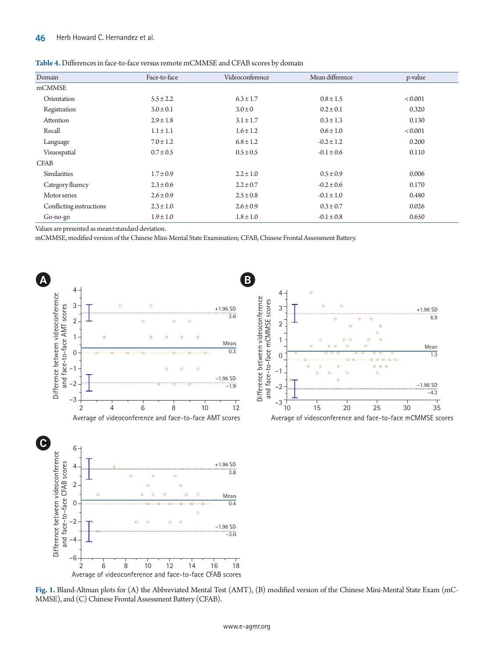| Domain                   | Face-to-face  | Videoconference | Mean difference | p-value        |
|--------------------------|---------------|-----------------|-----------------|----------------|
| mCMMSE                   |               |                 |                 |                |
| Orientation              | $5.5 \pm 2.2$ | $6.3 \pm 1.7$   | $0.8 \pm 1.5$   | ${}_{< 0.001}$ |
| Registration             | $3.0 \pm 0.1$ | $3.0 \pm 0$     | $0.2 \pm 0.1$   | 0.320          |
| Attention                | $2.9 \pm 1.8$ | $3.1 \pm 1.7$   | $0.3 \pm 1.3$   | 0.130          |
| Recall                   | $1.1 \pm 1.1$ | $1.6 \pm 1.2$   | $0.6 \pm 1.0$   | < 0.001        |
| Language                 | $7.0 \pm 1.2$ | $6.8 \pm 1.2$   | $-0.2 \pm 1.2$  | 0.200          |
| Visuospatial             | $0.7 \pm 0.5$ | $0.5 \pm 0.5$   | $-0.1 \pm 0.6$  | 0.110          |
| <b>CFAB</b>              |               |                 |                 |                |
| <b>Similarities</b>      | $1.7 \pm 0.9$ | $2.2 \pm 1.0$   | $0.5 \pm 0.9$   | 0.006          |
| Category fluency         | $2.3 \pm 0.6$ | $2.2 \pm 0.7$   | $-0.2 \pm 0.6$  | 0.170          |
| Motor series             | $2.6 \pm 0.9$ | $2.5 \pm 0.8$   | $-0.1 \pm 1.0$  | 0.480          |
| Conflicting instructions | $2.3 \pm 1.0$ | $2.6 \pm 0.9$   | $0.3 \pm 0.7$   | 0.026          |
| Go-no-go                 | $1.9 \pm 1.0$ | $1.8 \pm 1.0$   | $-0.1 \pm 0.8$  | 0.650          |

<span id="page-4-0"></span>

| <b>Table 4.</b> Differences in face-to-face versus remote mCMMSE and CFAB scores by domain |  |
|--------------------------------------------------------------------------------------------|--|
|--------------------------------------------------------------------------------------------|--|

Values are presented as mean±standard deviation.

mCMMSE, modified version of the Chinese Mini-Mental State Examination; CFAB, Chinese Frontal Assessment Battery.

<span id="page-4-1"></span>

**Fig. 1.** Bland-Altman plots for (A) the Abbreviated Mental Test (AMT), (B) modified version of the Chinese Mini-Mental State Exam (mC-MMSE), and (C) Chinese Frontal Assessment Battery (CFAB).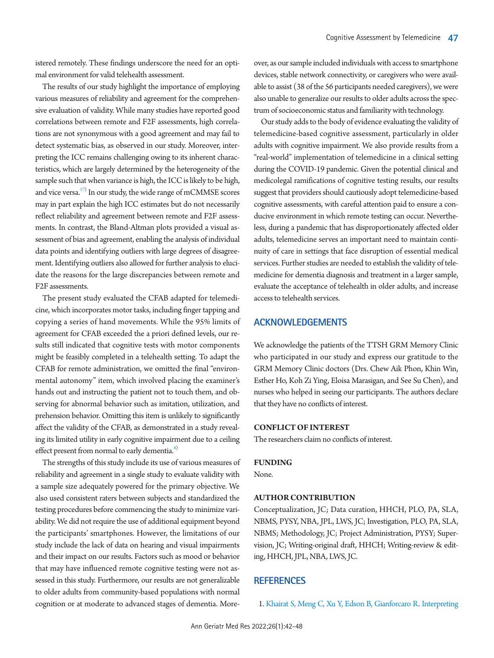istered remotely. These findings underscore the need for an optimal environment for valid telehealth assessment.

The results of our study highlight the importance of employing various measures of reliability and agreement for the comprehensive evaluation of validity. While many studies have reported good correlations between remote and F2F assessments, high correlations are not synonymous with a good agreement and may fail to detect systematic bias, as observed in our study. Moreover, interpreting the ICC remains challenging owing to its inherent characteristics, which are largely determined by the heterogeneity of the sample such that when variance is high, the ICC is likely to be high, and vice versa. $^{17)}$  In our study, the wide range of mCMMSE scores may in part explain the high ICC estimates but do not necessarily reflect reliability and agreement between remote and F2F assessments. In contrast, the Bland-Altman plots provided a visual assessment of bias and agreement, enabling the analysis of individual data points and identifying outliers with large degrees of disagreement. Identifying outliers also allowed for further analysis to elucidate the reasons for the large discrepancies between remote and F2F assessments.

The present study evaluated the CFAB adapted for telemedicine, which incorporates motor tasks, including finger tapping and copying a series of hand movements. While the 95% limits of agreement for CFAB exceeded the a priori defined levels, our results still indicated that cognitive tests with motor components might be feasibly completed in a telehealth setting. To adapt the CFAB for remote administration, we omitted the final "environmental autonomy" item, which involved placing the examiner's hands out and instructing the patient not to touch them, and observing for abnormal behavior such as imitation, utilization, and prehension behavior. Omitting this item is unlikely to significantly affect the validity of the CFAB, as demonstrated in a study revealing its limited utility in early cognitive impairment due to a ceiling effect present from normal to early dementia.<sup>8)</sup>

The strengths of this study include its use of various measures of reliability and agreement in a single study to evaluate validity with a sample size adequately powered for the primary objective. We also used consistent raters between subjects and standardized the testing procedures before commencing the study to minimize variability. We did not require the use of additional equipment beyond the participants' smartphones. However, the limitations of our study include the lack of data on hearing and visual impairments and their impact on our results. Factors such as mood or behavior that may have influenced remote cognitive testing were not assessed in this study. Furthermore, our results are not generalizable to older adults from community-based populations with normal cognition or at moderate to advanced stages of dementia. More-

over, as our sample included individuals with access to smartphone devices, stable network connectivity, or caregivers who were available to assist (38 of the 56 participants needed caregivers), we were also unable to generalize our results to older adults across the spectrum of socioeconomic status and familiarity with technology.

Our study adds to the body of evidence evaluating the validity of telemedicine-based cognitive assessment, particularly in older adults with cognitive impairment. We also provide results from a "real-world" implementation of telemedicine in a clinical setting during the COVID-19 pandemic. Given the potential clinical and medicolegal ramifications of cognitive testing results, our results suggest that providers should cautiously adopt telemedicine-based cognitive assessments, with careful attention paid to ensure a conducive environment in which remote testing can occur. Nevertheless, during a pandemic that has disproportionately affected older adults, telemedicine serves an important need to maintain continuity of care in settings that face disruption of essential medical services. Further studies are needed to establish the validity of telemedicine for dementia diagnosis and treatment in a larger sample, evaluate the acceptance of telehealth in older adults, and increase access to telehealth services.

### **ACKNOWLEDGEMENTS**

We acknowledge the patients of the TTSH GRM Memory Clinic who participated in our study and express our gratitude to the GRM Memory Clinic doctors (Drs. Chew Aik Phon, Khin Win, Esther Ho, Koh Zi Ying, Eloisa Marasigan, and See Su Chen), and nurses who helped in seeing our participants. The authors declare that they have no conflicts of interest.

#### **CONFLICT OF INTEREST**

The researchers claim no conflicts of interest.

#### **FUNDING**

None.

#### **AUTHOR CONTRIBUTION**

Conceptualization, JC; Data curation, HHCH, PLO, PA, SLA, NBMS, PYSY, NBA, JPL, LWS, JC; Investigation, PLO, PA, SLA, NBMS; Methodology, JC; Project Administration, PYSY; Supervision, JC; Writing-original draft, HHCH; Writing-review & editing, HHCH, JPL, NBA, LWS, JC.

#### **REFERENCES**

<span id="page-5-0"></span>1. [Khairat S, Meng C, Xu Y, Edson B, Gianforcaro R. Interpreting](https://doi.org/10.2196/18811)